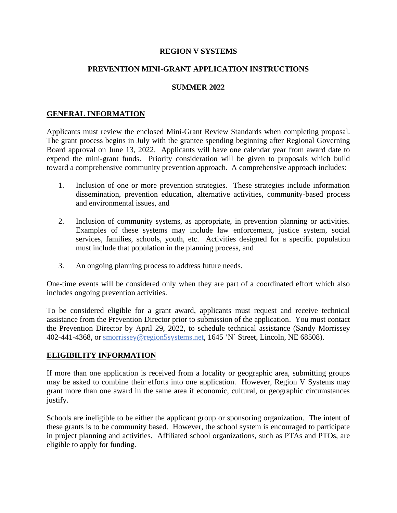# **REGION V SYSTEMS**

# **PREVENTION MINI-GRANT APPLICATION INSTRUCTIONS**

### **SUMMER 2022**

## **GENERAL INFORMATION**

Applicants must review the enclosed Mini-Grant Review Standards when completing proposal. The grant process begins in July with the grantee spending beginning after Regional Governing Board approval on June 13, 2022. Applicants will have one calendar year from award date to expend the mini-grant funds. Priority consideration will be given to proposals which build toward a comprehensive community prevention approach. A comprehensive approach includes:

- 1. Inclusion of one or more prevention strategies. These strategies include information dissemination, prevention education, alternative activities, community-based process and environmental issues, and
- 2. Inclusion of community systems, as appropriate, in prevention planning or activities. Examples of these systems may include law enforcement, justice system, social services, families, schools, youth, etc. Activities designed for a specific population must include that population in the planning process, and
- 3. An ongoing planning process to address future needs.

One-time events will be considered only when they are part of a coordinated effort which also includes ongoing prevention activities.

To be considered eligible for a grant award, applicants must request and receive technical assistance from the Prevention Director prior to submission of the application. You must contact the Prevention Director by April 29, 2022, to schedule technical assistance (Sandy Morrissey 402-441-4368, or [smorrissey@region5systems.net,](mailto:smorrissey@region5systems.net) 1645 'N' Street, Lincoln, NE 68508).

#### **ELIGIBILITY INFORMATION**

If more than one application is received from a locality or geographic area, submitting groups may be asked to combine their efforts into one application. However, Region V Systems may grant more than one award in the same area if economic, cultural, or geographic circumstances justify.

Schools are ineligible to be either the applicant group or sponsoring organization. The intent of these grants is to be community based. However, the school system is encouraged to participate in project planning and activities. Affiliated school organizations, such as PTAs and PTOs, are eligible to apply for funding.